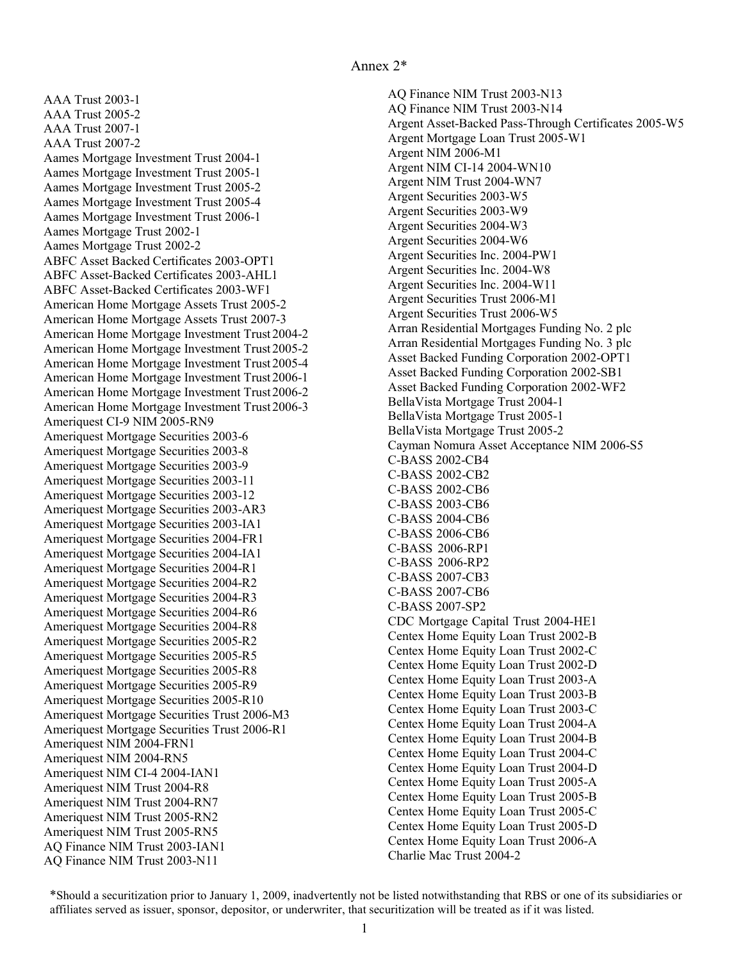<span id="page-0-0"></span> AAA Trust 2003-1 AAA Trust 2005-2 AAA Trust 2007-1 AAA Trust 2007-2 Aames Mortgage Investment Trust 2004-1 Aames Mortgage Trust 2002-1 ABFC Asset Backed Certificates 2003-OPT1 ABFC Asset-Backed Certificates 2003-AHL1 American Home Mortgage Assets Trust 2005-2 Ameriquest CI-9 NIM 2005-RN9 Ameriquest Mortgage Securities Trust 2006-M3 Ameriquest NIM 2004-FRN1 Ameriquest NIM 2004-RN5 Ameriquest NIM CI-4 2004-IAN1 Ameriquest NIM Trust 2004-R8 Ameriquest NIM Trust 2004-RN7 Ameriquest NIM Trust 2005-RN2 Ameriquest NIM Trust 2005-RN5 AQ Finance NIM Trust 2003-IAN1 Aames Mortgage Investment Trust 2005-1 Aames Mortgage Investment Trust 2005-2 Aames Mortgage Investment Trust 2005-4 Aames Mortgage Investment Trust 2006-1 Aames Mortgage Trust 2002-2 ABFC Asset-Backed Certificates 2003-WF1 American Home Mortgage Assets Trust 2007-3 American Home Mortgage Investment Trust 2004-2 American Home Mortgage Investment Trust 2005-2 American Home Mortgage Investment Trust 2005-4 American Home Mortgage Investment Trust 2006-1 American Home Mortgage Investment Trust 2006-2 American Home Mortgage Investment Trust 2006-3 Ameriquest Mortgage Securities 2003-6 Ameriquest Mortgage Securities 2003-8 Ameriquest Mortgage Securities 2003-9 Ameriquest Mortgage Securities 2003-11 Ameriquest Mortgage Securities 2003-12 Ameriquest Mortgage Securities 2003-AR3 Ameriquest Mortgage Securities 2003-IA1 Ameriquest Mortgage Securities 2004-FR1 Ameriquest Mortgage Securities 2004-IA1 Ameriquest Mortgage Securities 2004-R1 Ameriquest Mortgage Securities 2004-R2 Ameriquest Mortgage Securities 2004-R3 Ameriquest Mortgage Securities 2004-R6 Ameriquest Mortgage Securities 2004-R8 Ameriquest Mortgage Securities 2005-R2 Ameriquest Mortgage Securities 2005-R5 Ameriquest Mortgage Securities 2005-R8 Ameriquest Mortgage Securities 2005-R9 Ameriquest Mortgage Securities 2005-R10 Ameriquest Mortgage Securities Trust 2006-R1 AQ Finance NIM Trust 2003-N11

 AQ Finance NIM Trust 2003-N13 Argent Asset-Backed Pass-Through Certificates 2005-W5 Argent Mortgage Loan Trust 2005-W1 Argent NIM 2006-M1 Argent NIM CI-14 2004-WN10 Argent Securities 2003-W5 Argent Securities 2003-W9 Argent Securities 2004-W3 Argent Securities 2004-W6 Argent Securities Inc. 2004-PW1 Arran Residential Mortgages Funding No. 2 plc Asset Backed Funding Corporation 2002-OPT1 BellaVista Mortgage Trust 2004-1 Cayman Nomura Asset Acceptance NIM 2006-S5 C-BASS 2002-CB4 C-BASS 2002-CB2 C-BASS 2002-CB6 C-BASS 2003-CB6 C-BASS 2004-CB6 C-BASS 2006-CB6 C-BASS 2006-RP1 C-BASS 2006-RP2 C-BASS 2007-CB3 C-BASS 2007-CB6 C-BASS 2007-SP2 CDC Mortgage Capital Trust 2004-HE1 Centex Home Equity Loan Trust 2002-B Charlie Mac Trust 2004-2 AQ Finance NIM Trust 2003-N14 Argent NIM Trust 2004-WN7 Argent Securities Inc. 2004-W8 Argent Securities Inc. 2004-W11 Argent Securities Trust 2006-M1 Argent Securities Trust 2006-W5 Arran Residential Mortgages Funding No. 3 plc Asset Backed Funding Corporation 2002-SB1 Asset Backed Funding Corporation 2002-WF2 BellaVista Mortgage Trust 2005-1 BellaVista Mortgage Trust 2005-2 Centex Home Equity Loan Trust 2002-C Centex Home Equity Loan Trust 2002-D Centex Home Equity Loan Trust 2003-A Centex Home Equity Loan Trust 2003-B Centex Home Equity Loan Trust 2003-C Centex Home Equity Loan Trust 2004-A Centex Home Equity Loan Trust 2004-B Centex Home Equity Loan Trust 2004-C Centex Home Equity Loan Trust 2004-D Centex Home Equity Loan Trust 2005-A Centex Home Equity Loan Trust 2005-B Centex Home Equity Loan Trust 2005-C Centex Home Equity Loan Trust 2005-D Centex Home Equity Loan Trust 2006-A

 \*Should a securitization prior to January 1, 2009, inadvertently not be listed notwithstanding that RBS or one of its subsidiaries or affiliates served as issuer, sponsor, depositor, or underwriter, that securitization will be treated as if it was listed.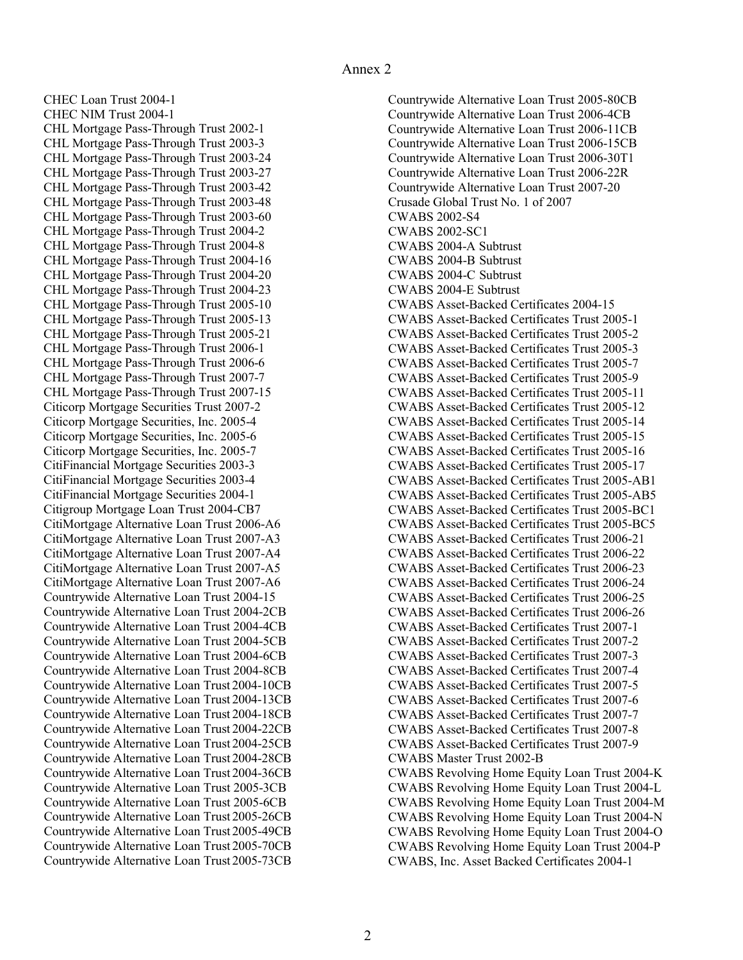<span id="page-1-0"></span> CHEC Loan Trust 2004[-1](#page-0-0) CHEC NIM Trust 2004-[1](#page-0-0) CHL Mortgage Pass-Through Trust 2002[-1](#page-0-0) CHL Mortgage Pass-Through Trust 20[03-](#page-2-0)3 CHL Mortgage Pass-Through Trust 2003-24 CHL Mortgage Pass-Through Trust 2003-27 CHL Mortgage Pass-Through Trust 2003-42 CHL Mortgage Pass-Through Trust 2003-48 CHL Mortgage Pass-Through Trust 2003-60 CHL Mortgage Pass-Through Trust 2004-2 CHL Mortgage Pass-Through Trust 2004-8 CHL Mortgage Pass-Through Trust 2004-16 CHL Mortgage Pass-Through Trust 2004-20 CHL Mortgage Pass-Through Trust 2004-23 CHL Mortgage Pass-Through Trust 2005[-10](#page-9-0) CHL Mortgage Pass-Through Trust 2005-13 CHL Mortgage Pass-Through Trust 2005-21 CHL Mortgage Pass-Through Trust 2006[-1](#page-0-0) CHL Mortgage Pass-Through Trust 20[06-](#page-5-0)6 CHL Mortgage Pass-Through Trust 20[07-](#page-6-0)7 CHL Mortgage Pass-Through Trust 2007-15 Citicorp Mortgage Securities Trust 2007-2 CitiFinancial Mortgage Securities 20[03-](#page-2-0)3 Citigroup Mortgage Loan Trust 2004-CB7 CitiMortgage Alternative Loan Trust 2006-A6 Countrywide Alternative Loan Trust 2004-15 Citicorp Mortgage Securities, Inc. 2005[-4](#page-3-0) Citicorp Mortgage Securities, Inc. 2005[-6](#page-5-0) Citicorp Mortgage Securities, Inc. 2005[-7](#page-6-0) CitiFinancial Mortgage Securities 2003[-4](#page-3-0) CitiFinancial Mortgage Securities 2004[-1](#page-0-0) CitiMortgage Alternative Loan Trust 2007-A3 CitiMortgage Alternative Loan Trust 2007-A4 CitiMortgage Alternative Loan Trust 2007-A5 CitiMortgage Alternative Loan Trust 2007-A6 Countrywide Alternative Loan Trust 2004-2CB Countrywide Alternative Loan Trust 2004-4CB Countrywide Alternative Loan Trust 2004-5CB Countrywide Alternative Loan Trust 2004-6CB Countrywide Alternative Loan Trust 2004-8CB Countrywide Alternative Loan Trust 2004-10CB Countrywide Alternative Loan Trust 2004-13CB Countrywide Alternative Loan Trust 2004-18CB Countrywide Alternative Loan Trust 2004-22CB Countrywide Alternative Loan Trust 2004-25CB Countrywide Alternative Loan Trust 2004-28CB Countrywide Alternative Loan Trust 2004-36CB Countrywide Alternative Loan Trust 2005-3CB Countrywide Alternative Loan Trust 2005-6CB Countrywide Alternative Loan Trust 2005-26CB Countrywide Alternative Loan Trust 2005-49CB Countrywide Alternative Loan Trust 2005-70CB Countrywide Alternative Loan Trust 2005-73CB

 Countrywide Alternative Loan Trust 2005-80CB Crusade Global Trust No. 1 of 2007 CWABS 2002-S4 CWABS 2002-SC1 CWABS 2004-A Subtrust CWABS 2004-B Subtrust CWABS 2004-C Subtrust CWABS 2004-E Subtrust CWABS Asset-Backed Certificates 2004-15 CWABS Asset-Backed Certificates Trust 2005[-1](#page-0-0) CWABS Master Trust 2002-B CWABS Revolving Home Equity Loan Trust 2004-K CWABS, Inc. Asset Backed Certificates 2004[-1](#page-0-0) Countrywide Alternative Loan Trust 2006-4CB Countrywide Alternative Loan Trust 2006-11CB Countrywide Alternative Loan Trust 2006-15CB Countrywide Alternative Loan Trust 2006-30T1 Countrywide Alternative Loan Trust 2006-22R Countrywide Alternative Loan Trust 2007-20 CWABS Asset-Backed Certificates Trust 2005-2 CWABS Asset-Backed Certificates Trust 2005[-3](#page-2-0) CWABS Asset-Backed Certificates Trust 2005[-7](#page-6-0) CWABS Asset-Backed Certificates Trust 2005-9 CWABS Asset-Backed Certificates Trust 2005[-11](#page-10-0) CWABS Asset-Backed Certificates Trust 2005-12 CWABS Asset-Backed Certificates Trust 2005-14 CWABS Asset-Backed Certificates Trust 2005-15 CWABS Asset-Backed Certificates Trust 2005-16 CWABS Asset-Backed Certificates Trust 2005-17 CWABS Asset-Backed Certificates Trust 2005-AB1 CWABS Asset-Backed Certificates Trust 2005-AB5 CWABS Asset-Backed Certificates Trust 2005-BC1 CWABS Asset-Backed Certificates Trust 2005-BC5 CWABS Asset-Backed Certificates Trust 2006-21 CWABS Asset-Backed Certificates Trust 2006-22 CWABS Asset-Backed Certificates Trust 2006-23 CWABS Asset-Backed Certificates Trust 2006-24 CWABS Asset-Backed Certificates Trust 2006-25 CWABS Asset-Backed Certificates Trust 2006-26 CWABS Asset-Backed Certificates Trust 2007[-1](#page-0-0) CWABS Asset-Backed Certificates Trust 2007-2 CWABS Asset-Backed Certificates Trust 2007[-3](#page-2-0) CWABS Asset-Backed Certificates Trust 2007[-4](#page-3-0) CWABS Asset-Backed Certificates Trust 2007[-5](#page-4-0) CWABS Asset-Backed Certificates Trust 2007[-6](#page-5-0) CWABS Asset-Backed Certificates Trust 20[07](#page-6-0)-7 CWABS Asset-Backed Certificates Trust 2007-8 CWABS Asset-Backed Certificates Trust 2007-9 CWABS Revolving Home Equity Loan Trust 2004-L CWABS Revolving Home Equity Loan Trust 2004-M CWABS Revolving Home Equity Loan Trust 2004-N CWABS Revolving Home Equity Loan Trust 2004-O CWABS Revolving Home Equity Loan Trust 2004-P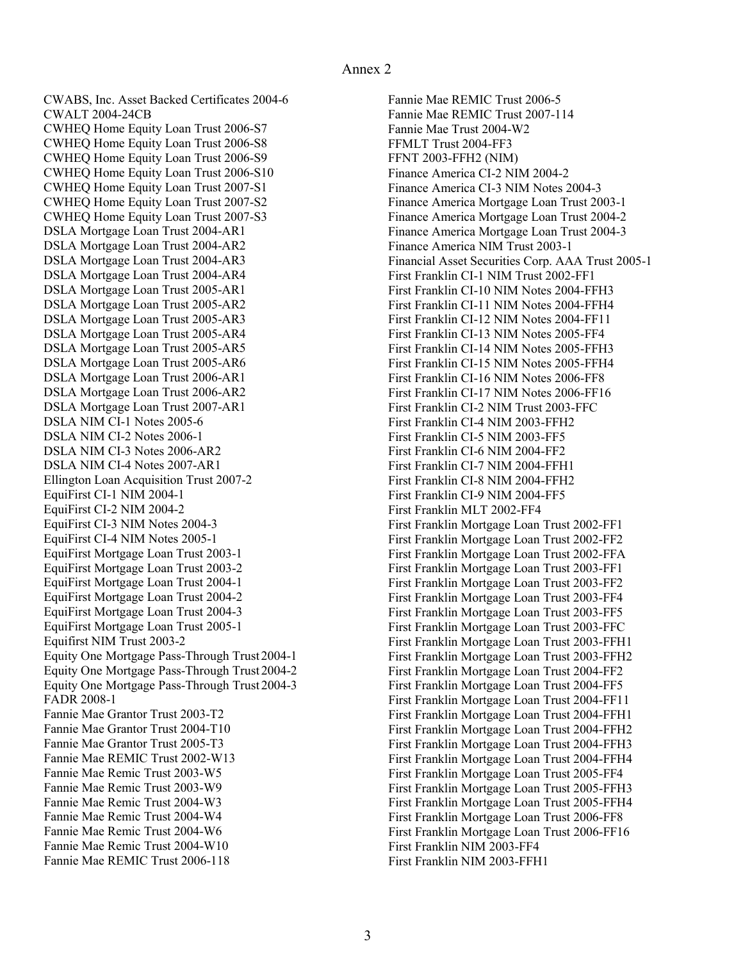<span id="page-2-0"></span> CWABS, Inc. Asset Backed Certificates 2004-6 CWALT 2004-24CB CWHEQ Home Equity Loan Trust 2006-S7 DSLA Mortgage Loan Trust 2004-AR1 Ellington Loan Acquisition Trust 2007-2 EquiFirst CI-1 NIM 2004-1 EquiFirst CI-2 NIM 2004-2 EquiFirst CI-3 NIM Notes 2004-3 Equifirst NIM Trust 2003-2 Equity One Mortgage Pass-Through Trust 2004-1 Equity One Mortgage Pass-Through Trust 2004-2 Equity One Mortgage Pass-Through Trust 2004-3 FADR 2008-1 Fannie Mae Grantor Trust 2003-T2 CWHEQ Home Equity Loan Trust 2006-S8 CWHEQ Home Equity Loan Trust 2006-S9 CWHEQ Home Equity Loan Trust 2006-S10 CWHEQ Home Equity Loan Trust 2007-S1 CWHEQ Home Equity Loan Trust 2007-S2 CWHEQ Home Equity Loan Trust 2007-S3 DSLA Mortgage Loan Trust 2004-AR2 DSLA Mortgage Loan Trust 2004-AR3 DSLA Mortgage Loan Trust 2004-AR4 DSLA Mortgage Loan Trust 2005-AR1 DSLA Mortgage Loan Trust 2005-AR2 DSLA Mortgage Loan Trust 2005-AR3 DSLA Mortgage Loan Trust 2005-AR4 DSLA Mortgage Loan Trust 2005-AR5 DSLA Mortgage Loan Trust 2005-AR6 DSLA Mortgage Loan Trust 2006-AR1 DSLA Mortgage Loan Trust 2006-AR2 DSLA Mortgage Loan Trust 2007-AR1 DSLA NIM CI-1 Notes 2005-6 DSLA NIM CI-2 Notes 2006-1 DSLA NIM CI-3 Notes 2006-AR2 DSLA NIM CI-4 Notes 2007-AR1 EquiFirst CI-4 NIM Notes 2005-1 EquiFirst Mortgage Loan Trust 2003-1 EquiFirst Mortgage Loan Trust 2003-2 EquiFirst Mortgage Loan Trust 2004-1 EquiFirst Mortgage Loan Trust 2004-2 EquiFirst Mortgage Loan Trust 2004-3 EquiFirst Mortgage Loan Trust 2005-1 Fannie Mae Grantor Trust 2004-T10 Fannie Mae Grantor Trust 2005-T3 Fannie Mae REMIC Trust 2002-W13 Fannie Mae Remic Trust 2003-W5 Fannie Mae Remic Trust 2003-W9 Fannie Mae Remic Trust 2004-W3 Fannie Mae Remic Trust 2004-W4 Fannie Mae Remic Trust 2004-W6 Fannie Mae Remic Trust 2004-W10 Fannie Mae REMIC Trust 2006-118

 Fannie Mae REMIC Trust 2006-5 Fannie Mae Trust 2004-W2 FFMLT Trust 2004-FF3 FFNT 2003-FFH2 (NIM) Finance America CI-2 NIM 2004-2 Finance America CI-3 NIM Notes 2004-3 Finance America NIM Trust 2003-1 Financial Asset Securities Corp. AAA Trust 2005-1 First Franklin CI-1 NIM Trust 2002-FF1 First Franklin CI-4 NIM 2003-FFH2 First Franklin MLT 2002-FF4 First Franklin Mortgage Loan Trust 2002-FF1 First Franklin NIM 2003-FF4 Fannie Mae REMIC Trust 2007-114 Finance America Mortgage Loan Trust 2003-1 Finance America Mortgage Loan Trust 2004-2 Finance America Mortgage Loan Trust 2004-3 First Franklin CI-10 NIM Notes 2004-FFH3 First Franklin CI-11 NIM Notes 2004-FFH4 First Franklin CI-12 NIM Notes 2004-FF11 First Franklin CI-13 NIM Notes 2005-FF4 First Franklin CI-14 NIM Notes 2005-FFH3 First Franklin CI-15 NIM Notes 2005-FFH4 First Franklin CI-16 NIM Notes 2006-FF8 First Franklin CI-17 NIM Notes 2006-FF16 First Franklin CI-2 NIM Trust 2003-FFC First Franklin CI-5 NIM 2003-FF5 First Franklin CI-6 NIM 2004-FF2 First Franklin CI-7 NIM 2004-FFH1 First Franklin CI-8 NIM 2004-FFH2 First Franklin CI-9 NIM 2004-FF5 First Franklin Mortgage Loan Trust 2002-FF2 First Franklin Mortgage Loan Trust 2002-FFA First Franklin Mortgage Loan Trust 2003-FF1 First Franklin Mortgage Loan Trust 2003-FF2 First Franklin Mortgage Loan Trust 2003-FF4 First Franklin Mortgage Loan Trust 2003-FF5 First Franklin Mortgage Loan Trust 2003-FFC First Franklin Mortgage Loan Trust 2003-FFH1 First Franklin Mortgage Loan Trust 2003-FFH2 First Franklin Mortgage Loan Trust 2004-FF2 First Franklin Mortgage Loan Trust 2004-FF5 First Franklin Mortgage Loan Trust 2004-FF11 First Franklin Mortgage Loan Trust 2004-FFH1 First Franklin Mortgage Loan Trust 2004-FFH2 First Franklin Mortgage Loan Trust 2004-FFH3 First Franklin Mortgage Loan Trust 2004-FFH4 First Franklin Mortgage Loan Trust 2005-FF4 First Franklin Mortgage Loan Trust 2005-FFH3 First Franklin Mortgage Loan Trust 2005-FFH4 First Franklin Mortgage Loan Trust 2006-FF8 First Franklin Mortgage Loan Trust 2006-FF16 First Franklin NIM 2003-FFH1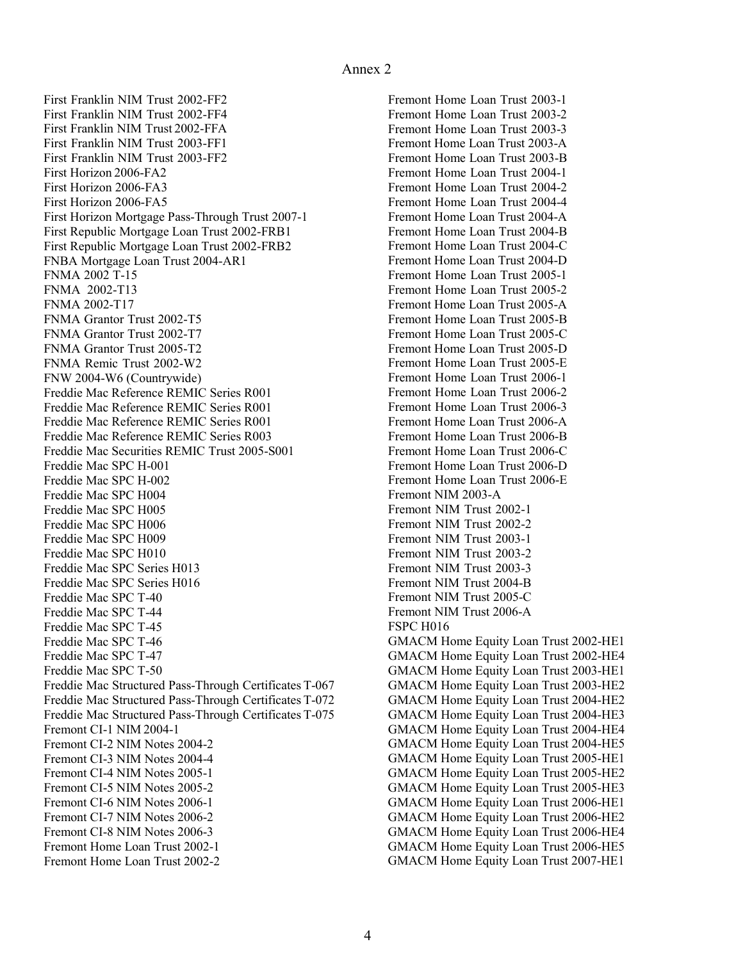<span id="page-3-0"></span> First Franklin NIM Trust 2002-FF2 First Horizon 2006-FA2 First Horizon 2006-FA3 First Horizon 2006-FA5 First Horizon Mortgage Pass-Through Trust 2007[-1](#page-0-0) First Republic Mortgage Loan Trust 2002-FRB1 FNBA Mortgage Loan Trust 2004-AR1 FNMA 2002 T-15 FNMA 2002-T13 FNMA 2002-T17 FNMA Grantor Trust 2002-T5 FNW 2004-W6 (Countrywide) Freddie Mac Reference REMIC Series R001 Freddie Mac SPC H-001 Freddie Mac SPC H-002 Freddie Mac SPC H004 Freddie Mac SPC H005 Freddie Mac SPC H006 Freddie Mac SPC H009 Freddie Mac SPC H010 Freddie Mac SPC Series H013 Freddie Mac SPC T-40 Freddie Mac SPC T-44 Freddie Mac SPC T-45 Freddie Mac SPC T-46 Freddie Mac SPC T-47 Freddie Mac SPC T-50 Freddie Mac Structured Pass-Through Certificates T-067 Freddie Mac Structured Pass-Through Certificates T-072 Freddie Mac Structured Pass-Through Certificates T-075 Fremont CI[-1](#page-0-0) NIM 2004-1 Fremont CI[-2](#page-1-0) NIM Notes 2004-2 First Franklin NIM Trust 2002-FF4 First Franklin NIM Trust 2002-FFA First Franklin NIM Trust 2003-FF1 First Franklin NIM Trust 2003-FF2 First Republic Mortgage Loan Trust 2002-FRB2 FNMA Grantor Trust 2002-T7 FNMA Grantor Trust 2005-T2 FNMA Remic Trust 2002-W2 Freddie Mac Reference REMIC Series R001 Freddie Mac Reference REMIC Series R001 Freddie Mac Reference REMIC Series R003 Freddie Mac Securities REMIC Trust 2005-S001 Freddie Mac SPC Series H016 Fremont CI-3 NIM Notes 2004-4 Fremont CI-4 NIM Notes 2005[-1](#page-0-0) Fremont CI-5 NIM Notes [2](#page-1-0)005-2 Fremont CI-6 NIM Notes 2006[-1](#page-0-0) Fremont CI-7 NIM Notes [2](#page-1-0)006-2 Fremont CI-8 NIM Notes 2006[-3](#page-2-0) Fremont Home Loan Trust 2002[-1](#page-0-0) Fremont Home Loan Trust [20](#page-1-0)02-2

 Fremont Home Loan Trust 2003[-1](#page-0-0) Fremont NIM 2003-A Fremont NIM Trust 2002-[1](#page-0-0) Fremont NIM Trust [2](#page-1-0)002-2 Fremont NIM Trust 2003-[1](#page-0-0) Fremont NIM Trust [2](#page-1-0)003-2 Fremont NIM Trust 20[03](#page-2-0)-3 Fremont NIM Trust 2004-B Fremont NIM Trust 2005-C Fremont NIM Trust 2006-A FSPC H016 GMACM Home Equity Loan Trust 2002-HE1 Fremont Home Loan Trust [2](#page-1-0)003-2 Fremont Home Loan Trust 20[03-](#page-2-0)3 Fremont Home Loan Trust 2003-A Fremont Home Loan Trust 2003-B Fremont Home Loan Trust 2004[-1](#page-0-0) Fremont Home Loan Trust [2](#page-1-0)004-2 Fremont Home Loan Trust 2004-4 Fremont Home Loan Trust 2004-A Fremont Home Loan Trust 2004-B Fremont Home Loan Trust 2004-C Fremont Home Loan Trust 2004-D Fremont Home Loan Trust 2005[-1](#page-0-0) Fremont Home Loan Trust [2](#page-1-0)005-2 Fremont Home Loan Trust 2005-A Fremont Home Loan Trust 2005-B Fremont Home Loan Trust 2005-C Fremont Home Loan Trust 2005-D Fremont Home Loan Trust 2005-E Fremont Home Loan Trust 2006[-1](#page-0-0) Fremont Home Loan Trust [2](#page-1-0)006-2 Fremont Home Loan Trust 2006[-3](#page-2-0) Fremont Home Loan Trust 2006-A Fremont Home Loan Trust 2006-B Fremont Home Loan Trust 2006-C Fremont Home Loan Trust 2006-D Fremont Home Loan Trust 2006-E GMACM Home Equity Loan Trust 2002-HE4 GMACM Home Equity Loan Trust 2003-HE1 GMACM Home Equity Loan Trust 2003-HE2 GMACM Home Equity Loan Trust 2004-HE2 GMACM Home Equity Loan Trust 2004-HE3 GMACM Home Equity Loan Trust 2004-HE4 GMACM Home Equity Loan Trust 2004-HE5 GMACM Home Equity Loan Trust 2005-HE1 GMACM Home Equity Loan Trust 2005-HE2 GMACM Home Equity Loan Trust 2005-HE3 GMACM Home Equity Loan Trust 2006-HE1 GMACM Home Equity Loan Trust 2006-HE2 GMACM Home Equity Loan Trust 2006-HE4 GMACM Home Equity Loan Trust 2006-HE5 GMACM Home Equity Loan Trust 2007-HE1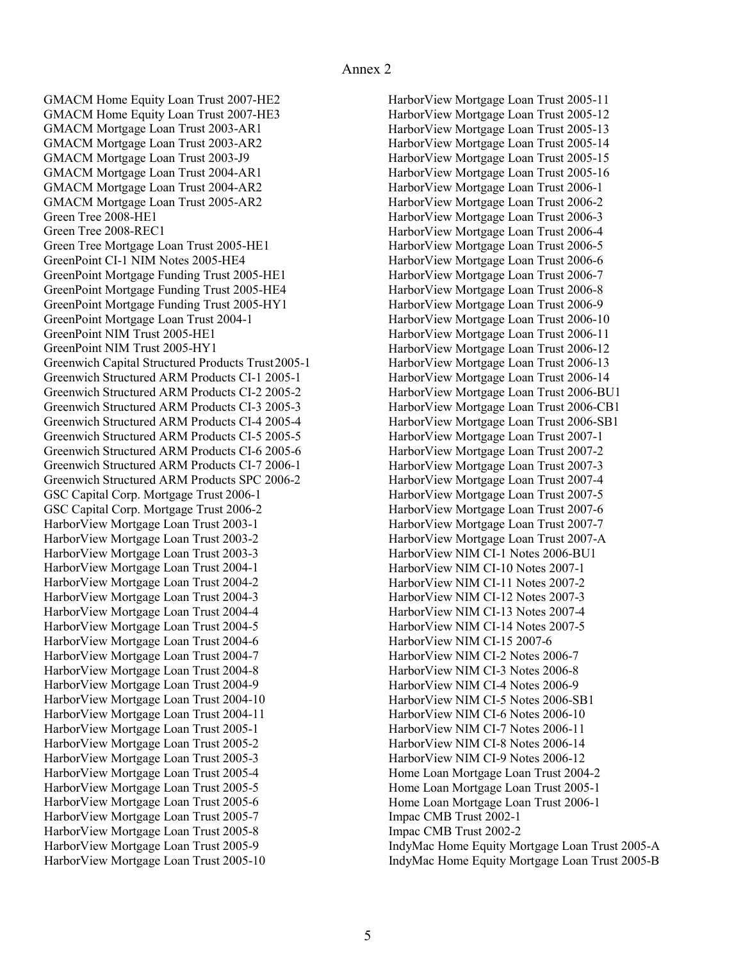<span id="page-4-0"></span> GMACM Home Equity Loan Trust 2007-HE2 GMACM Mortgage Loan Trust 2003-AR1 Green Tree 2008-HE1 Green Tree 2008-REC1 Green Tree Mortgage Loan Trust 2005-HE1 GreenPoint CI-1 NIM Notes 2005-HE4 GreenPoint NIM Trust 2005-HE1 Greenwich Capital Structured Products Trust2005-1 GSC Capital Corp. Mortgage Trust 2006[-1](#page-0-0) HarborView Mortgage Loan Trust 2003[-1](#page-0-0) GMACM Home Equity Loan Trust 2007-HE3 GMACM Mortgage Loan Trust 2003-AR2 GMACM Mortgage Loan Trust 2003-J9 GMACM Mortgage Loan Trust 2004-AR1 GMACM Mortgage Loan Trust 2004-AR2 GMACM Mortgage Loan Trust 2005-AR2 GreenPoint Mortgage Funding Trust 2005-HE1 GreenPoint Mortgage Funding Trust 2005-HE4 GreenPoint Mortgage Funding Trust 2005-HY1 GreenPoint Mortgage Loan Trust 2004[-1](#page-0-0) GreenPoint NIM Trust 2005-HY1 Greenwich Structured ARM Products CI-[1](#page-0-0) 2005-1 Greenwich Structured ARM Products CI-[2](#page-1-0) 2005-2 Greenwich Structured ARM Products CI-[3](#page-2-0) 2005-3 Greenwich Structured ARM Products CI-[4](#page-3-0) 2005-4 Greenwich Structured ARM Products CI-5 2005-5 Greenwich Structured ARM Products CI-[6](#page-5-0) 2005-6 Greenwich Structured ARM Products CI-7 2006[-1](#page-0-0) Greenwich Structured ARM Products SPC [2](#page-1-0)006-2 GSC Capital Corp. Mortgage Trust [20](#page-1-0)06-2 HarborView Mortgage Loan Trust [20](#page-1-0)03-2 HarborView Mortgage Loan Trust 20[03](#page-2-0)-3 HarborView Mortgage Loan Trust 2004[-1](#page-0-0) HarborView Mortgage Loan Trust [20](#page-1-0)04-2 HarborView Mortgage Loan Trust 2004[-3](#page-2-0) HarborView Mortgage Loan Trust 20[04](#page-3-0)-4 HarborView Mortgage Loan Trust 2004-5 HarborView Mortgage Loan Trust 2004[-6](#page-5-0) HarborView Mortgage Loan Trust 2004[-7](#page-6-0) HarborView Mortgage Loan Trust 2004-8 HarborView Mortgage Loan Trust 2004-9 HarborView Mortgage Loan Trust 2004[-10](#page-9-0) HarborView Mortgage Loan Trust 2004[-11](#page-10-0) HarborView Mortgage Loan Trust 2005[-1](#page-0-0) HarborView Mortgage Loan Trust [20](#page-1-0)05-2 HarborView Mortgage Loan Trust 2005[-3](#page-2-0) HarborView Mortgage Loan Trust 2005[-4](#page-3-0) HarborView Mortgage Loan Trust 2005-5 HarborView Mortgage Loan Trust 2005[-6](#page-5-0) HarborView Mortgage Loan Trust 2005[-7](#page-6-0) HarborView Mortgage Loan Trust 2005-8 HarborView Mortgage Loan Trust 2005-9 HarborView Mortgage Loan Trust 2005[-10](#page-9-0)

 HarborView Mortgage Loan Trust 2005[-11](#page-10-0) HarborView NIM CI-15 2007[-6](#page-5-0) HarborView NIM CI-2 Notes 2006[-7](#page-6-0) Home Loan Mortgage Loan Trust [2](#page-1-0)004-2 Impac CMB Trust 2002[-1](#page-0-0) Impac CMB Trust [2](#page-1-0)002-2 IndyMac Home Equity Mortgage Loan Trust 2005-A HarborView Mortgage Loan Trust 2005-12 HarborView Mortgage Loan Trust 2005-13 HarborView Mortgage Loan Trust 2005-14 HarborView Mortgage Loan Trust 2005-15 HarborView Mortgage Loan Trust 2005-16 HarborView Mortgage Loan Trust 2006[-1](#page-0-0) HarborView Mortgage Loan Trust [2](#page-1-0)006-2 HarborView Mortgage Loan Trust 2006[-3](#page-2-0) HarborView Mortgage Loan Trust 2006[-4](#page-3-0) HarborView Mortgage Loan Trust 2006-5 HarborView Mortgage Loan Trust 20[06](#page-5-0)-6 HarborView Mortgage Loan Trust 2006[-7](#page-6-0) HarborView Mortgage Loan Trust 2006-8 HarborView Mortgage Loan Trust 2006-9 HarborView Mortgage Loan Trust 2006[-10](#page-9-0) HarborView Mortgage Loan Trust 2006[-11](#page-10-0) HarborView Mortgage Loan Trust 2006-12 HarborView Mortgage Loan Trust 2006-13 HarborView Mortgage Loan Trust 2006-14 HarborView Mortgage Loan Trust 2006-BU1 HarborView Mortgage Loan Trust 2006-CB1 HarborView Mortgage Loan Trust 2006-SB1 HarborView Mortgage Loan Trust 2007[-1](#page-0-0) HarborView Mortgage Loan Trust [2](#page-1-0)007-2 HarborView Mortgage Loan Trust 2007[-3](#page-2-0) HarborView Mortgage Loan Trust 2007[-4](#page-3-0) HarborView Mortgage Loan Trust 2007-5 HarborView Mortgage Loan Trust 2007[-6](#page-5-0) HarborView Mortgage Loan Trust 20[07](#page-6-0)-7 HarborView Mortgage Loan Trust 2007-A HarborView NIM CI-1 Notes 2006-BU1 HarborView NIM CI[-1](#page-0-0)0 Notes 2007-1 HarborView NIM CI-11 Notes [2](#page-1-0)007-2 HarborView NIM CI-12 Notes 2007[-3](#page-2-0) HarborView NIM CI-13 Notes 2007[-4](#page-3-0) HarborView NIM CI-14 Notes 2007-5 HarborView NIM CI-3 Notes 2006-8 HarborView NIM CI-4 Notes 2006-9 HarborView NIM CI-5 Notes 2006-SB1 HarborView NIM CI-6 Notes 2006[-10](#page-9-0) HarborView NIM CI-7 Notes 2006[-11](#page-10-0) HarborView NIM CI-8 Notes 2006-14 HarborView NIM CI-9 Notes 2006-12 Home Loan Mortgage Loan Trust 2005[-1](#page-0-0) Home Loan Mortgage Loan Trust 2006[-1](#page-0-0) IndyMac Home Equity Mortgage Loan Trust 2005-B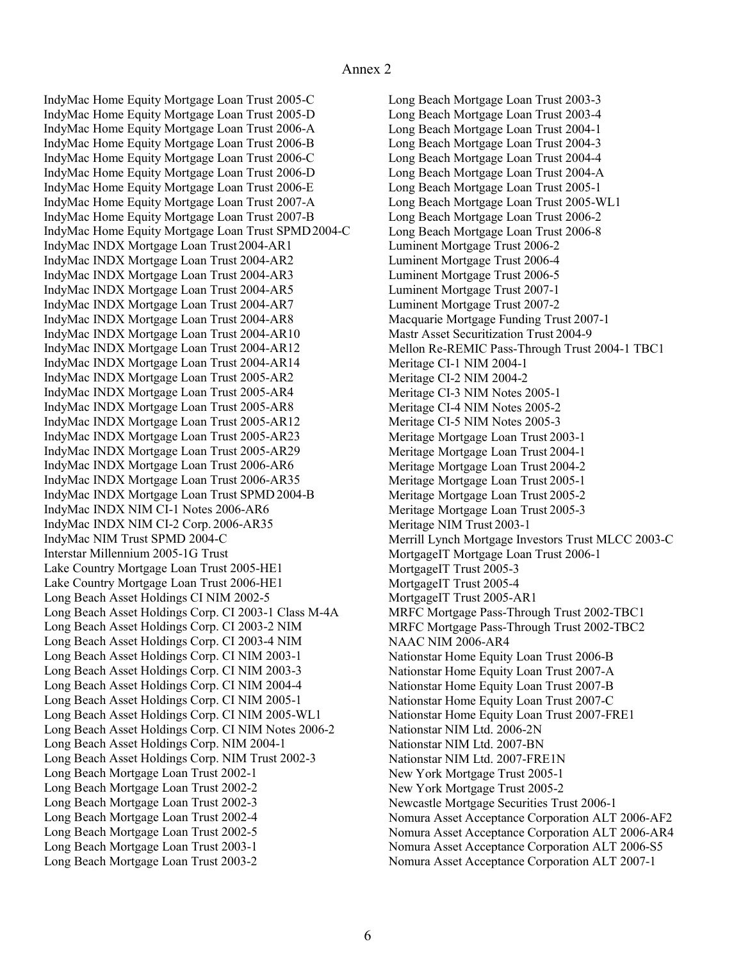<span id="page-5-0"></span> IndyMac Home Equity Mortgage Loan Trust 2005-C IndyMac Home Equity Mortgage Loan Trust SPMD2004-C IndyMac INDX Mortgage Loan Trust 2004-AR1 IndyMac INDX Mortgage Loan Trust SPMD2004-B IndyMac INDX NIM CI-1 Notes 2006-AR6 IndyMac NIM Trust SPMD 2004-C Interstar Millennium 2005-1G Trust Lake Country Mortgage Loan Trust 2005-HE1 Long Beach Asset Holdings CI NIM 2002[-5](#page-4-0) Long Beach Asset Holdings Corp. CI 2003-1 Class M-4A Long Beach Asset Holdings Corp. CI 2003-2 NIM Long Beach Asset Holdings Corp. CI NIM Notes [2](#page-1-0)006-2 Long Beach Asset Holdings Corp. NIM 2004[-1](#page-0-0) Long Beach Asset Holdings Corp. NIM Trust 2002[-3](#page-2-0) Long Beach Mortgage Loan Trust 2002[-1](#page-0-0) IndyMac Home Equity Mortgage Loan Trust 2005-D IndyMac Home Equity Mortgage Loan Trust 2006-A IndyMac Home Equity Mortgage Loan Trust 2006-B IndyMac Home Equity Mortgage Loan Trust 2006-C IndyMac Home Equity Mortgage Loan Trust 2006-D IndyMac Home Equity Mortgage Loan Trust 2006-E IndyMac Home Equity Mortgage Loan Trust 2007-A IndyMac Home Equity Mortgage Loan Trust 2007-B IndyMac INDX Mortgage Loan Trust 2004-AR2 IndyMac INDX Mortgage Loan Trust 2004-AR3 IndyMac INDX Mortgage Loan Trust 2004-AR5 IndyMac INDX Mortgage Loan Trust 2004-AR7 IndyMac INDX Mortgage Loan Trust 2004-AR8 IndyMac INDX Mortgage Loan Trust 2004-AR10 IndyMac INDX Mortgage Loan Trust 2004-AR12 IndyMac INDX Mortgage Loan Trust 2004-AR14 IndyMac INDX Mortgage Loan Trust 2005-AR2 IndyMac INDX Mortgage Loan Trust 2005-AR4 IndyMac INDX Mortgage Loan Trust 2005-AR8 IndyMac INDX Mortgage Loan Trust 2005-AR12 IndyMac INDX Mortgage Loan Trust 2005-AR23 IndyMac INDX Mortgage Loan Trust 2005-AR29 IndyMac INDX Mortgage Loan Trust 2006-AR6 IndyMac INDX Mortgage Loan Trust 2006-AR35 IndyMac INDX NIM CI-2 Corp. 2006-AR35 Lake Country Mortgage Loan Trust 2006-HE1 Long Beach Asset Holdings Corp. CI 2003-4 NIM Long Beach Asset Holdings Corp. CI NIM 2003[-1](#page-0-0) Long Beach Asset Holdings Corp. CI NIM 20[03](#page-2-0)-3 Long Beach Asset Holdings Corp. CI NIM 20[04](#page-3-0)-4 Long Beach Asset Holdings Corp. CI NIM 2005[-1](#page-0-0) Long Beach Asset Holdings Corp. CI NIM 2005-WL1 Long Beach Mortgage Loan Trust [20](#page-1-0)02-2 Long Beach Mortgage Loan Trust 2002[-3](#page-2-0) Long Beach Mortgage Loan Trust 2002[-4](#page-3-0) Long Beach Mortgage Loan Trust 2002[-5](#page-4-0) Long Beach Mortgage Loan Trust 2003[-1](#page-0-0) Long Beach Mortgage Loan Trust [2](#page-1-0)003-2

 Long Beach Mortgage Loan Trust 200[3](#page-2-0)-3 Luminent Mortgage Trust [2](#page-1-0)006-2 Macquarie Mortgage Funding Trust 2007[-1](#page-0-0) Mastr Asset Securitization Trust 2004-9 Mellon Re-REMIC Pass-Through Trust 2004-1 TBC1 Meritage CI[-1](#page-0-0) NIM 2004-1 Meritage CI[-2](#page-1-0) NIM 2004-2 Meritage CI-3 NIM Notes 2005[-1](#page-0-0) Meritage NIM Trust 2003[-1](#page-0-0) Merrill Lynch Mortgage Investors Trust MLCC 2003-C MortgageIT Mortgage Loan Trust 2006[-1](#page-0-0) MortgageIT Trust 2005[-3](#page-2-0) MortgageIT Trust 2005[-4](#page-3-0) MortgageIT Trust 2005-AR1 MRFC Mortgage Pass-Through Trust 2002-TBC1 MRFC Mortgage Pass-Through Trust 2002-TBC2 NAAC NIM 2006-AR4 Nationstar Home Equity Loan Trust 2006-B Nationstar NIM Ltd. 2006-2N Nationstar NIM Ltd. 2007-BN Nationstar NIM Ltd. 2007-FRE1N New York Mortgage Trust 2005[-1](#page-0-0) Newcastle Mortgage Securities Trust 2006[-1](#page-0-0) Nomura Asset Acceptance Corporation ALT 2006-AF2 Long Beach Mortgage Loan Trust 2003[-4](#page-3-0) Long Beach Mortgage Loan Trust 2004[-1](#page-0-0) Long Beach Mortgage Loan Trust 2004[-3](#page-2-0) Long Beach Mortgage Loan Trust 200[4](#page-3-0)-4 Long Beach Mortgage Loan Trust 2004-A Long Beach Mortgage Loan Trust 2005[-1](#page-0-0) Long Beach Mortgage Loan Trust 2005-WL1 Long Beach Mortgage Loan Trust [2](#page-1-0)006-2 Long Beach Mortgage Loan Trust 2006-8 Luminent Mortgage Trust 2006[-4](#page-3-0) Luminent Mortgage Trust 2006[-5](#page-4-0) Luminent Mortgage Trust 2007[-1](#page-0-0) Luminent Mortgage Trust [2](#page-1-0)007-2 Meritage CI-4 NIM Notes [2](#page-1-0)005-2 Meritage CI-5 NIM Notes 2005[-3](#page-2-0) Meritage Mortgage Loan Trust 2003[-1](#page-0-0) Meritage Mortgage Loan Trust 2004[-1](#page-0-0) Meritage Mortgage Loan Trust [2](#page-1-0)004-2 Meritage Mortgage Loan Trust 2005[-1](#page-0-0) Meritage Mortgage Loan Trust [2](#page-1-0)005-2 Meritage Mortgage Loan Trust 2005[-3](#page-2-0) Nationstar Home Equity Loan Trust 2007-A Nationstar Home Equity Loan Trust 2007-B Nationstar Home Equity Loan Trust 2007-C Nationstar Home Equity Loan Trust 2007-FRE1 New York Mortgage Trust [2](#page-1-0)005-2 Nomura Asset Acceptance Corporation ALT 2006-AR4 Nomura Asset Acceptance Corporation ALT 2006-S5 Nomura Asset Acceptance Corporation ALT 2007[-1](#page-0-0)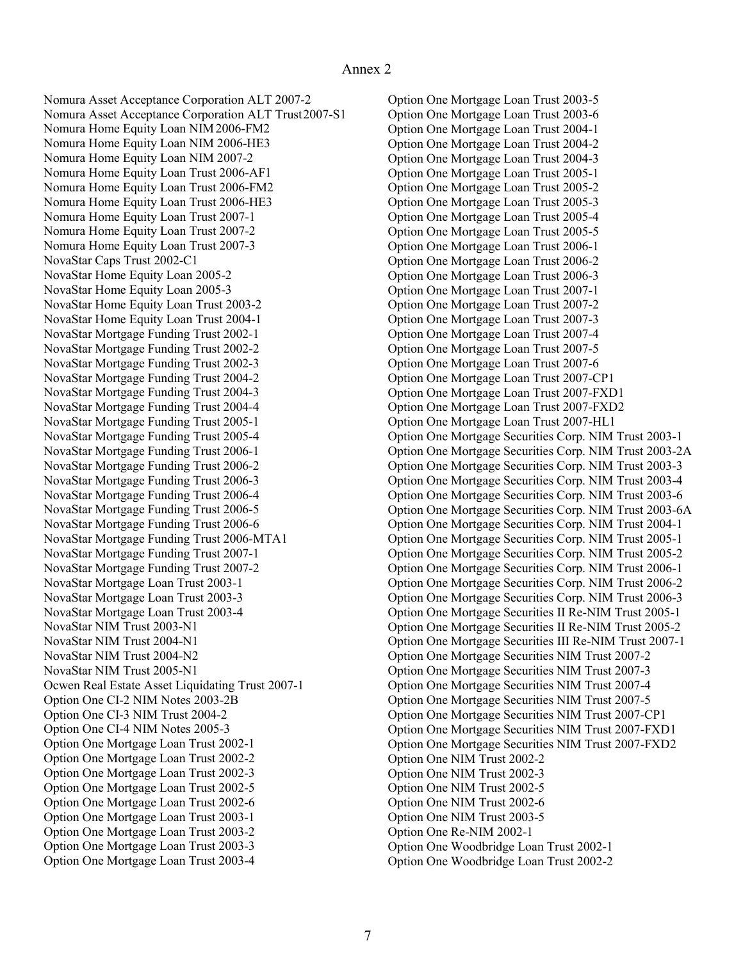<span id="page-6-0"></span> Nomura Asset Acceptance Corporation ALT [2](#page-1-0)007-2 Nomura Asset Acceptance Corporation ALT Trust2007-S1 Nomura Home Equity Loan NIM2006-FM2 NovaStar Caps Trust 2002-C1 NovaStar Home Equity Loan [20](#page-1-0)05-2 NovaStar Home Equity Loan Trust [2](#page-1-0)003-2 NovaStar Mortgage Funding Trust 2002[-1](#page-0-0) NovaStar Mortgage Funding Trust 2006-MTA1 NovaStar Mortgage Funding Trust 2007[-1](#page-0-0) NovaStar NIM Trust 2003-N1 NovaStar NIM Trust 2004-N1 NovaStar NIM Trust 2004-N2 NovaStar NIM Trust 2005-N1 Ocwen Real Estate Asset Liquidating Trust 2007[-1](#page-0-0) Option One CI-2 NIM Notes 2003-2B Nomura Home Equity Loan NIM 2006-HE3 Nomura Home Equity Loan NIM [2](#page-1-0)007-2 Nomura Home Equity Loan Trust 2006-AF1 Nomura Home Equity Loan Trust 2006-FM2 Nomura Home Equity Loan Trust 2006-HE3 Nomura Home Equity Loan Trust 2007[-1](#page-0-0) Nomura Home Equity Loan Trust [2](#page-1-0)007-2 Nomura Home Equity Loan Trust 2007[-3](#page-2-0) NovaStar Home Equity Loan 2005-[3](#page-2-0) NovaStar Home Equity Loan Trust 2004[-1](#page-0-0) NovaStar Mortgage Funding Trust [2](#page-1-0)002-2 NovaStar Mortgage Funding Trust 2002[-3](#page-2-0) NovaStar Mortgage Funding Trust [2](#page-1-0)004-2 NovaStar Mortgage Funding Trust 2004[-3](#page-2-0) NovaStar Mortgage Funding Trust 200[4](#page-3-0)-4 NovaStar Mortgage Funding Trust 2005[-1](#page-0-0) NovaStar Mortgage Funding Trust 2005[-4](#page-3-0) NovaStar Mortgage Funding Trust 2006[-1](#page-0-0) NovaStar Mortgage Funding Trust [2](#page-1-0)006-2 NovaStar Mortgage Funding Trust 2006[-3](#page-2-0) NovaStar Mortgage Funding Trust 2006[-4](#page-3-0) NovaStar Mortgage Funding Trust 2006[-5](#page-4-0) NovaStar Mortgage Funding Trust 200[6](#page-5-0)-6 NovaStar Mortgage Funding Trust [2](#page-1-0)007-2 NovaStar Mortgage Loan Trust 2003[-1](#page-0-0) NovaStar Mortgage Loan Trust 20[03-](#page-2-0)3 NovaStar Mortgage Loan Trust 2003[-4](#page-3-0) Option One CI-3 NIM Trust [20](#page-1-0)04-2 Option One CI-4 NIM Notes 2005[-3](#page-2-0) Option One Mortgage Loan Trust 2002-[1](#page-0-0) Option One Mortgage Loan Trust [20](#page-1-0)02-2 Option One Mortgage Loan Trust 2002-[3](#page-2-0) Option One Mortgage Loan Trust 2002-[5](#page-4-0) Option One Mortgage Loan Trust 2002-[6](#page-5-0) Option One Mortgage Loan Trust 2003-[1](#page-0-0) Option One Mortgage Loan Trust [20](#page-1-0)03-2 Option One Mortgage Loan Trust 20[03](#page-2-0)-3 Option One Mortgage Loan Trust 2003-[4](#page-3-0)

 Option One Mortgage Loan Trust 2003[-5](#page-4-0) Option One Mortgage Securities Corp. NIM Trust 2003[-1](#page-0-0) Option One Mortgage Securities NIM Trust [2](#page-1-0)007-2 Option One NIM Trust [20](#page-1-0)02-2 Option One Re-NIM 2002[-1](#page-0-0) Option One Woodbridge Loan Trust 2002[-1](#page-0-0) Option One Mortgage Loan Trust 2003[-6](#page-5-0) Option One Mortgage Loan Trust 2004[-1](#page-0-0) Option One Mortgage Loan Trust [2](#page-1-0)004-2 Option One Mortgage Loan Trust 2004[-3](#page-2-0) Option One Mortgage Loan Trust 2005[-1](#page-0-0) Option One Mortgage Loan Trust [2](#page-1-0)005-2 Option One Mortgage Loan Trust 2005[-3](#page-2-0) Option One Mortgage Loan Trust 2005[-4](#page-3-0) Option One Mortgage Loan Trust 200[5](#page-4-0)-5 Option One Mortgage Loan Trust 2006[-1](#page-0-0) Option One Mortgage Loan Trust [2](#page-1-0)006-2 Option One Mortgage Loan Trust 2006[-3](#page-2-0) Option One Mortgage Loan Trust 2007[-1](#page-0-0) Option One Mortgage Loan Trust [2](#page-1-0)007-2 Option One Mortgage Loan Trust 2007[-3](#page-2-0) Option One Mortgage Loan Trust 2007[-4](#page-3-0) Option One Mortgage Loan Trust 2007[-5](#page-4-0) Option One Mortgage Loan Trust 2007[-6](#page-5-0) Option One Mortgage Loan Trust 2007-CP1 Option One Mortgage Loan Trust 2007-FXD1 Option One Mortgage Loan Trust 2007-FXD2 Option One Mortgage Loan Trust 2007-HL1 Option One Mortgage Securities Corp. NIM Trust 2003-2A Option One Mortgage Securities Corp. NIM Trust 200[3](#page-2-0)-3 Option One Mortgage Securities Corp. NIM Trust 2003[-4](#page-3-0) Option One Mortgage Securities Corp. NIM Trust 2003[-6](#page-5-0) Option One Mortgage Securities Corp. NIM Trust 2003-6A Option One Mortgage Securities Corp. NIM Trust 2004[-1](#page-0-0) Option One Mortgage Securities Corp. NIM Trust 2005[-1](#page-0-0) Option One Mortgage Securities Corp. NIM Trust [2](#page-1-0)005-2 Option One Mortgage Securities Corp. NIM Trust 2006[-1](#page-0-0) Option One Mortgage Securities Corp. NIM Trust [2](#page-1-0)006-2 Option One Mortgage Securities Corp. NIM Trust 2006[-3](#page-2-0) Option One Mortgage Securities II Re-NIM Trust 2005[-1](#page-0-0) Option One Mortgage Securities II Re-NIM Trust [20](#page-1-0)05-2 Option One Mortgage Securities III Re-NIM Trust 2007[-1](#page-0-0) Option One Mortgage Securities NIM Trust 2007[-3](#page-2-0) Option One Mortgage Securities NIM Trust 2007[-4](#page-3-0) Option One Mortgage Securities NIM Trust 2007[-5](#page-4-0) Option One Mortgage Securities NIM Trust 2007-CP1 Option One Mortgage Securities NIM Trust 2007-FXD1 Option One Mortgage Securities NIM Trust 2007-FXD2 Option One NIM Trust 2002-[3](#page-2-0) Option One NIM Trust 2002-[5](#page-4-0) Option One NIM Trust 2002-[6](#page-5-0) Option One NIM Trust 2003-[5](#page-4-0) Option One Woodbridge Loan Trust [20](#page-1-0)02-2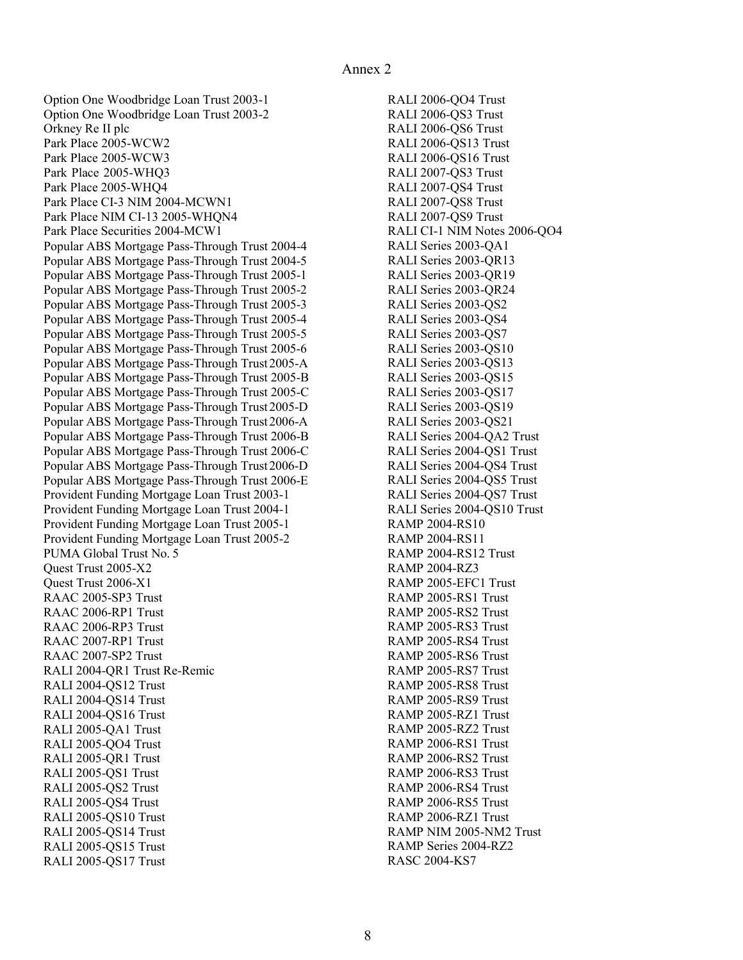Option One Woodbridge Loan Trust 2003-1 RALI 2006-QO4 Trust Orkney Re II plc Park Place 2005-WCW2 RALI 2006-QS13 Trust Park Place 2005-WCW3 Park Place 2005-WHQ3 RALI 2007-QS3 Trust Park Place 2005-WHQ4 RALI 2007-QS4 Trust Park Place CI-3 NIM 2004-MCWN1 RALI 2007-QS8 Trust Park Place NIM CI-13 2005-WHQN4 RALI 2007-QS9 Trust Park Place Securities 2004-MCW1 RALI CI-1 NIM Notes 2006-QO4 Popular ABS Mortgage Pass-Through Trust 2004-4 RALI Series 2003-QA1 Popular ABS Mortgage Pass-Through Trust 2004-5 RALI Series 2003-QR13 Popular ABS Mortgage Pass-Through Trust 2005-1 RALI Series 2003-QR19 Popular ABS Mortgage Pass-Through Trust 2005-2 RALI Series 2003-QR24 Popular ABS Mortgage Pass-Through Trust 2005-3 RALI Series 2003-QS2 Popular ABS Mortgage Pass-Through Trust 2005-4 RALI Series 2003-QS4 Popular ABS Mortgage Pass-Through Trust 2005-5 RALI Series 2003-QS7 Popular ABS Mortgage Pass-Through Trust 2005-6 RALI Series 2003-QS10 Popular ABS Mortgage Pass-Through Trust2005-A RALI Series 2003-QS13 Popular ABS Mortgage Pass-Through Trust 2005-B RALI Series 2003-QS15 Popular ABS Mortgage Pass-Through Trust 2005-C RALI Series 2003-QS17 Popular ABS Mortgage Pass-Through Trust2005-D RALI Series 2003-QS19 Popular ABS Mortgage Pass-Through Trust2006-A RALI Series 2003-QS21 Popular ABS Mortgage Pass-Through Trust 2006-B RALI Series 2004-QA2 Trust Popular ABS Mortgage Pass-Through Trust 2006-C RALI Series 2004-QS1 Trust Popular ABS Mortgage Pass-Through Trust2006-D RALI Series 2004-QS4 Trust Popular ABS Mortgage Pass-Through Trust 2006-E RALI Series 2004-QS5 Trust Provident Funding Mortgage Loan Trust 2003-1 RALI Series 2004-QS7 Trust PUMA Global Trust No. 5 **RAMP 2004-RS12** Trust Quest Trust 2005-X2 RAMP 2004-RZ3 Ouest Trust 2006-X1 RAAC 2005-SP3 Trust Trust RAMP 2005-RS1 Trust RAAC 2006-RP1 Trust Trust RAMP 2005-RS2 Trust RAAC 2006-RP3 Trust Trust RAMP 2005-RS3 Trust RAAC 2007-RP1 Trust **RAMP** 2005-RS4 Trust RAAC 2007-SP2 Trust RALI 2004-QR1 Trust Re-Remic **RAMP** 2005-RS7 Trust RALI 2004-QS12 Trust **RAMP** 2005-RS8 Trust RALI 2004-QS14 Trust **RAMP** 2005-RS9 Trust RALI 2004-QS16 Trust **RAMP** 2005-RZ1 Trust RALI 2005-QA1 Trust Trust RAMP 2005-RZ2 Trust RALI 2005-QO4 Trust **RAMP** 2006-RS1 Trust RALI 2005-QR1 Trust Trust RAMP 2006-RS2 Trust RALI 2005-QS1 Trust RALI 2005-QS2 Trust **RAMP** 2006-RS4 Trust RALI 2005-QS4 Trust **RAMP** 2006-RS5 Trust RALI 2005-QS10 Trust **RAMP** 2006-RZ1 Trust RALI 2005-QS14 Trust RALI 2005-QS15 Trust RALI 2005-QS17 Trust RASC 2004-KS7 Orkney Re II plc **RALI 2006-QS6 Trust** Park Place 2005-WCW3 RALI 2006-QS16 Trust Quest Trust 2006-X1 RAMP 2005-EFC1 Trust RAAC 2007-SP2 Trust Trust RAMP 2005-RS6 Trust RALI 2005-QS1 Trust Trust RAMP 2006-RS3 Trust RALI 2005-QS14 Trust **RAMP NIM 2005-NM2** Trust RALI 2005-QS15 Trust RAMP Series 2004-RZ2 Option One Woodbridge Loan Trust 2003-2 Provident Funding Mortgage Loan Trust 2004-1 RALI Series 2004-QS10 Trust Provident Funding Mortgage Loan Trust 2005-1 Provident Funding Mortgage Loan Trust 2005-2

RALI 2006-QO4 Trust RALI 2006-QS3 Trust RALI 2006-OS13 Trust RALI 2007-QS3 Trust RALI 2007-QS4 Trust RALI 2007-QS8 Trust RALI 2007-QS9 Trust RALI CI-1 NIM Notes 2006-QO4 RALI Series 2003-QA1 RALI Series 2003-QR13 RALI Series 2003-OR19 RALI Series 2003-QR24 RALI Series 2003-QS2 RALI Series 2003-QS4 RALI Series 2003-QS7 RALI Series 2003-OS10 RALI Series 2003-QS13 RALI Series 2003-QS15 RALI Series 2003-QS17 RALI Series 2003-QS19 RALI Series 2003-OS21 RALI Series 2004-QA2 Trust **RAMP 2004-RS10 RAMP 2004-RS11** RAMP 2004-RS12 Trust **RAMP 2004-RZ3** RAMP 2005-RS1 Trust RAMP 2005-RS2 Trust RAMP 2005-RS3 Trust RAMP 2005-RS4 Trust RAMP 2005-RS7 Trust RAMP 2005-RS8 Trust RAMP 2005-RS9 Trust RAMP 2005-RZ1 Trust RAMP 2005-RZ2 Trust RAMP 2006-RS1 Trust RAMP 2006-RS2 Trust RAMP 2006-RS4 Trust RAMP 2006-RS5 Trust RAMP 2006-RZ1 Trust **RASC 2004-KS7**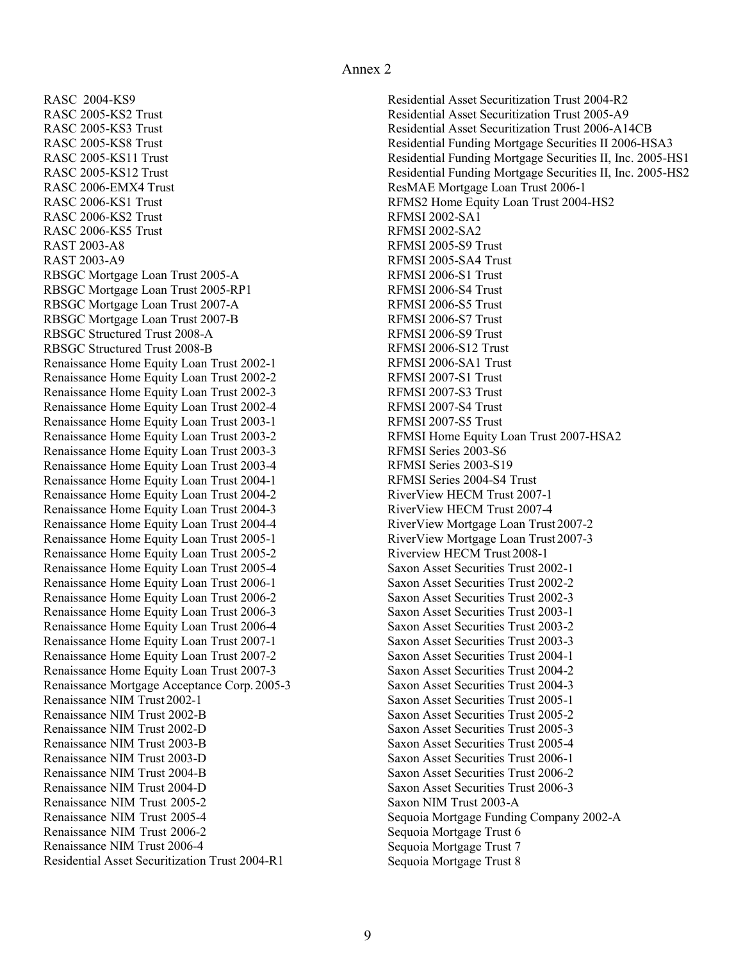**RASC 2004-KS9** RASC 2005-KS2 Trust RASC 2005-KS3 Trust RASC 2005-KS8 Trust RASC 2005-KS11 Trust RASC 2005-KS12 Trust RASC 2006-EMX4 Trust RASC 2006-KS1 Trust RASC 2006-KS2 Trust RFMSI 2002-SA1 RASC 2006-KS5 Trust RFMSI 2002-SA2 **RAST 2003-A8 RAST 2003-A9** RBSGC Mortgage Loan Trust 2005-A RFMSI 2006-S1 Trust RBSGC Structured Trust 2008-A RFMSI 2006-S9 Trust Renaissance Home Equity Loan Trust 2002-1 RFMSI 2006-SA1 Trust Renaissance Mortgage Acceptance Corp. 2005-3 Saxon Asset Securities Trust 2004-3 Renaissance NIM Trust 2002-1 Renaissance NIM Trust 2002-B Renaissance NIM Trust 2002-D Renaissance NIM Trust 2003-B Renaissance NIM Trust 2003-D Renaissance NIM Trust 2004-B Renaissance NIM Trust 2004-D Renaissance NIM Trust 2005-2 Saxon NIM Trust 2003-A Renaissance NIM Trust 2005-4 Renaissance NIM Trust 2006-2 **Sequoia Mortgage Trust 6** Sequoia Mortgage Trust 6 Renaissance NIM Trust 2006-4 Sequoia Mortgage Trust 7 Residential Asset Securitization Trust 2004-R1 Sequoia Mortgage Trust 8 RASC 2004-KS9 Residential Asset Securitization Trust 2004-R2 RASC 2005-KS2 Trust Trust Residential Asset Securitization Trust 2005-A9 RASC 2006-EMX4 Trust Trust ResMAE Mortgage Loan Trust 2006-1 RASC 2006-KS1 Trust **REMS2** Home Equity Loan Trust 2004-HS2 RAST 2003-A8 RFMSI 2005-S9 Trust RAST 2003-A9 RFMSI 2005-SA4 Trust Renaissance Home Equity Loan Trust 2003-2 RFMSI Home Equity Loan Trust 2007-HSA2 Renaissance NIM Trust 2005-4 Sequoia Mortgage Funding Company 2002-A RBSGC Mortgage Loan Trust 2005-RP1 RBSGC Mortgage Loan Trust 2007-A RBSGC Mortgage Loan Trust 2007-B RBSGC Structured Trust 2008-B Renaissance Home Equity Loan Trust 2002-2 Renaissance Home Equity Loan Trust 2002-3 Renaissance Home Equity Loan Trust 2002-4 Renaissance Home Equity Loan Trust 2003-1 Renaissance Home Equity Loan Trust 2003-3 Renaissance Home Equity Loan Trust 2003-4 Renaissance Home Equity Loan Trust 2004-1 Renaissance Home Equity Loan Trust 2004-2 Renaissance Home Equity Loan Trust 2004-3 Renaissance Home Equity Loan Trust 2004-4 Renaissance Home Equity Loan Trust 2005-1 RiverView Mortgage Loan Trust 2007-3 Renaissance Home Equity Loan Trust 2005-2 Renaissance Home Equity Loan Trust 2005-4 Renaissance Home Equity Loan Trust 2006-1 Saxon Asset Securities Trust 2002-2 Renaissance Home Equity Loan Trust 2006-2 Saxon Asset Securities Trust 2002-3 Renaissance Home Equity Loan Trust 2006-3 Saxon Asset Securities Trust 2003-1 Renaissance Home Equity Loan Trust 2006-4 Saxon Asset Securities Trust 2003-2 Renaissance Home Equity Loan Trust 2007-1 Saxon Asset Securities Trust 2003-3 Renaissance Home Equity Loan Trust 2007-2 Saxon Asset Securities Trust 2004-1 Renaissance Home Equity Loan Trust 2007-3 Saxon Asset Securities Trust 2004-2

RASC 2005-KS3 Trust Trust Residential Asset Securitization Trust 2006-A14CB RASC 2005-KS8 Trust **Residential Funding Mortgage Securities II 2006-HSA3** RASC 2005-KS11 Trust The State Residential Funding Mortgage Securities II, Inc. 2005-HS1 **RFMSI 2002-SA1 REMSI 2002-SA2** RFMSI 2006-S1 Trust RFMSI 2006-S4 Trust RFMSI 2006-S5 Trust RFMSI 2006-S7 Trust RFMSI 2006-S9 Trust RFMSI 2006-S12 Trust RFMSI 2006-SA1 Trust RFMSI 2007-S1 Trust RFMSI 2007-S3 Trust RFMSI 2007-S4 Trust RFMSI 2007-S5 Trust RFMSI Series 2003-S6 RFMSI Series 2003-S19 RFMSI Series 2004-S4 Trust RiverView HECM Trust 2007-1 RiverView HECM Trust 2007-4 RiverView Mortgage Loan Trust 2007-2 Riverview HECM Trust 2008-1 Saxon Asset Securities Trust 2002-1 Saxon NIM Trust 2003-A Sequoia Mortgage Trust 6 Sequoia Mortgage Trust 7 Sequoia Mortgage Trust 8 Residential Funding Mortgage Securities II, Inc. 2005-HS2 Saxon Asset Securities Trust 2005-1 Saxon Asset Securities Trust 2005-2 Saxon Asset Securities Trust 2005-3 Saxon Asset Securities Trust 2005-4 **Saxon Asset Securities Trust 2006-1** Saxon Asset Securities Trust 2006-2 Saxon Asset Securities Trust 2006-3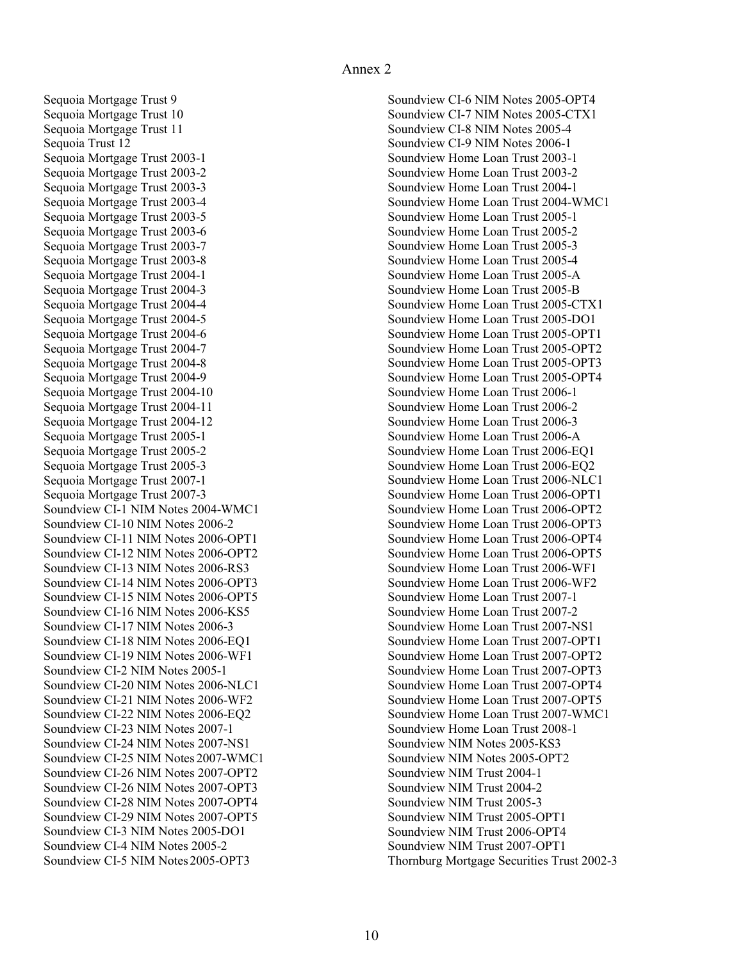<span id="page-9-0"></span> Sequoia Mortgage Trust 9 Sequoia Mortgage Trust 10 Sequoia Mortgage Trust 11 Sequoia Trust 12 Sequoia Mortgage Trust 2003-1 Soundview CI-1 NIM Notes 2004-WMC1 Soundview CI-10 NIM Notes 2006-2 Soundview CI-25 NIM Notes 2007-WMC1 Soundview CI-26 NIM Notes 2007-OPT2 Sequoia Mortgage Trust 2003-2 Sequoia Mortgage Trust 2003-3 Sequoia Mortgage Trust 2003-4 Sequoia Mortgage Trust 2003-5 Sequoia Mortgage Trust 2003-6 Sequoia Mortgage Trust 2003-7 Sequoia Mortgage Trust 2003-8 Sequoia Mortgage Trust 2004-1 Sequoia Mortgage Trust 2004-3 Sequoia Mortgage Trust 2004-4 Sequoia Mortgage Trust 2004-5 Sequoia Mortgage Trust 2004-6 Sequoia Mortgage Trust 2004-7 Sequoia Mortgage Trust 2004-8 Sequoia Mortgage Trust 2004-9 Sequoia Mortgage Trust 2004-10 Sequoia Mortgage Trust 2004-11 Sequoia Mortgage Trust 2004-12 Sequoia Mortgage Trust 2005-1 Sequoia Mortgage Trust 2005-2 Sequoia Mortgage Trust 2005-3 Sequoia Mortgage Trust 2007-1 Sequoia Mortgage Trust 2007-3 Soundview CI-11 NIM Notes 2006-OPT1 Soundview CI-12 NIM Notes 2006-OPT2 Soundview CI-13 NIM Notes 2006-RS3 Soundview CI-14 NIM Notes 2006-OPT3 Soundview CI-15 NIM Notes 2006-OPT5 Soundview CI-16 NIM Notes 2006-KS5 Soundview CI-17 NIM Notes 2006-3 Soundview CI-18 NIM Notes 2006-EQ1 Soundview CI-19 NIM Notes 2006-WF1 Soundview CI-2 NIM Notes 2005-1 Soundview CI-20 NIM Notes 2006-NLC1 Soundview CI-21 NIM Notes 2006-WF2 Soundview CI-22 NIM Notes 2006-EQ2 Soundview CI-23 NIM Notes 2007-1 Soundview CI-24 NIM Notes 2007-NS1 Soundview CI-26 NIM Notes 2007-OPT3 Soundview CI-28 NIM Notes 2007-OPT4 Soundview CI-29 NIM Notes 2007-OPT5 Soundview CI-3 NIM Notes 2005-DO1 Soundview CI-4 NIM Notes 2005-2 Soundview CI-5 NIM Notes2005-OPT3

 Soundview CI-6 NIM Notes 2005-OPT4 Soundview Home Loan Trust 2004-WMC1 Soundview Home Loan Trust 2005-1 Soundview Home Loan Trust 2007-WMC1 Soundview Home Loan Trust 2008-1 Soundview NIM Notes 2005-KS3 Soundview NIM Trust 2004-1 Soundview NIM Trust 2004-2 Soundview NIM Trust 2005-3 Thornburg Mortgage Securities Trust 2002-3 Soundview CI-7 NIM Notes 2005-CTX1 Soundview CI-8 NIM Notes 2005-4 Soundview CI-9 NIM Notes 2006-1 Soundview Home Loan Trust 2003-1 Soundview Home Loan Trust 2003-2 Soundview Home Loan Trust 2004-1 Soundview Home Loan Trust 2005-2 Soundview Home Loan Trust 2005-3 Soundview Home Loan Trust 2005-4 Soundview Home Loan Trust 2005-A Soundview Home Loan Trust 2005-B Soundview Home Loan Trust 2005-CTX1 Soundview Home Loan Trust 2005-DO1 Soundview Home Loan Trust 2005-OPT1 Soundview Home Loan Trust 2005-OPT2 Soundview Home Loan Trust 2005-OPT3 Soundview Home Loan Trust 2005-OPT4 Soundview Home Loan Trust 2006-1 Soundview Home Loan Trust 2006-2 Soundview Home Loan Trust 2006-3 Soundview Home Loan Trust 2006-A Soundview Home Loan Trust 2006-EQ1 Soundview Home Loan Trust 2006-EQ2 Soundview Home Loan Trust 2006-NLC1 Soundview Home Loan Trust 2006-OPT1 Soundview Home Loan Trust 2006-OPT2 Soundview Home Loan Trust 2006-OPT3 Soundview Home Loan Trust 2006-OPT4 Soundview Home Loan Trust 2006-OPT5 Soundview Home Loan Trust 2006-WF1 Soundview Home Loan Trust 2006-WF2 Soundview Home Loan Trust 2007-1 Soundview Home Loan Trust 2007-2 Soundview Home Loan Trust 2007-NS1 Soundview Home Loan Trust 2007-OPT1 Soundview Home Loan Trust 2007-OPT2 Soundview Home Loan Trust 2007-OPT3 Soundview Home Loan Trust 2007-OPT4 Soundview Home Loan Trust 2007-OPT5 Soundview NIM Notes 2005-OPT2 Soundview NIM Trust 2005-OPT1 Soundview NIM Trust 2006-OPT4 Soundview NIM Trust 2007-OPT1